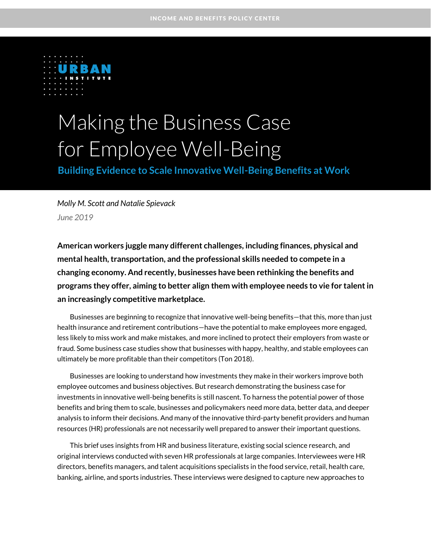

# Making the Business Case for Employee Well-Being

**Building Evidence to Scale Innovative Well-Being Benefits at Work** 

*Molly M. Scott and Natalie Spievack June 2019*

**American workers juggle many different challenges, including finances, physical and mental health, transportation, and the professional skills needed to compete in a changing economy. And recently, businesses have been rethinking the benefits and programs they offer, aiming to better align them with employee needs to vie for talent in an increasingly competitive marketplace.**

Businesses are beginning to recognize that innovative well-being benefits—that this, more than just health insurance and retirement contributions—have the potential to make employees more engaged, less likely to miss work and make mistakes, and more inclined to protect their employers from waste or fraud. Some business case studies show that businesses with happy, healthy, and stable employees can ultimately be more profitable than their competitors (Ton 2018).

Businesses are looking to understand how investments they make in their workers improve both employee outcomes and business objectives. But research demonstrating the business case for investments in innovative well-being benefits is still nascent. To harness the potential power of those benefits and bring them to scale, businesses and policymakers need more data, better data, and deeper analysis to inform their decisions. And many of the innovative third-party benefit providers and human resources (HR) professionals are not necessarily well prepared to answer their important questions.

This brief uses insights from HR and business literature, existing social science research, and original interviews conducted with seven HR professionals at large companies. Interviewees were HR directors, benefits managers, and talent acquisitions specialists in the food service, retail, health care, banking, airline, and sports industries. These interviews were designed to capture new approaches to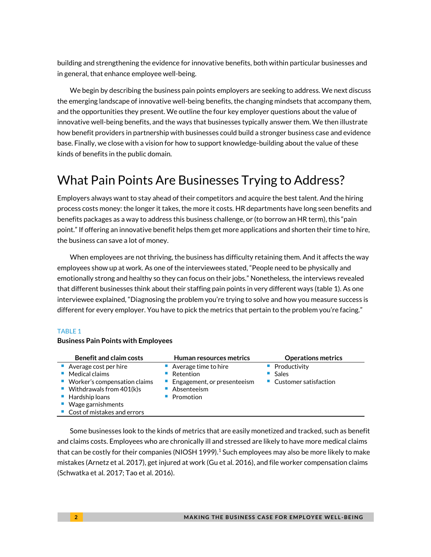building and strengthening the evidence for innovative benefits, both within particular businesses and in general, that enhance employee well-being.

We begin by describing the business pain points employers are seeking to address. We next discuss the emerging landscape of innovative well-being benefits, the changing mindsets that accompany them, and the opportunities they present. We outline the four key employer questions about the value of innovative well-being benefits, and the ways that businesses typically answer them. We then illustrate how benefit providers in partnership with businesses could build a stronger business case and evidence base. Finally, we close with a vision for how to support knowledge-building about the value of these kinds of benefits in the public domain.

## What Pain Points Are Businesses Trying to Address?

Employers always want to stay ahead of their competitors and acquire the best talent. And the hiring process costs money: the longer it takes, the more it costs. HR departments have long seen benefits and benefits packages as a way to address this business challenge, or (to borrow an HR term), this "pain point." If offering an innovative benefit helps them get more applications and shorten their time to hire, the business can save a lot of money.

When employees are not thriving, the business has difficulty retaining them. And it affects the way employees show up at work. As one of the interviewees stated, "People need to be physically and emotionally strong and healthy so they can focus on their jobs." Nonetheless, the interviews revealed that different businesses think about their staffing pain points in very different ways (table 1). As one interviewee explained, "Diagnosing the problem you're trying to solve and how you measure success is different for every employer. You have to pick the metrics that pertain to the problem you're facing."

#### TABLE 1

#### **Business Pain Points with Employees**

| <b>Benefit and claim costs</b>                                                                                                                                                                     | <b>Human resources metrics</b>                                                               | <b>Operations metrics</b>                        |
|----------------------------------------------------------------------------------------------------------------------------------------------------------------------------------------------------|----------------------------------------------------------------------------------------------|--------------------------------------------------|
| Average cost per hire<br>Medical claims<br>■ Worker's compensation claims<br>■ Withdrawals from $401(k)s$<br>$\blacksquare$ Hardship loans<br>■ Wage garnishments<br>■ Cost of mistakes and errors | Average time to hire<br>Retention<br>Engagement, or presenteeism<br>Absenteeism<br>Promotion | Productivity<br>Sales<br>• Customer satisfaction |

Some businesses look to the kinds of metrics that are easily monetized and tracked, such as benefit and claims costs. Employees who are chronically ill and stressed are likely to have more medical claims that can be costly for their companies (NIOSH 1999). <sup>1</sup> Such employees may also be more likely to make mistakes (Arnetz et al. 2017), get injured at work (Gu et al. 2016), and file worker compensation claims (Schwatka et al. 2017; Tao et al. 2016).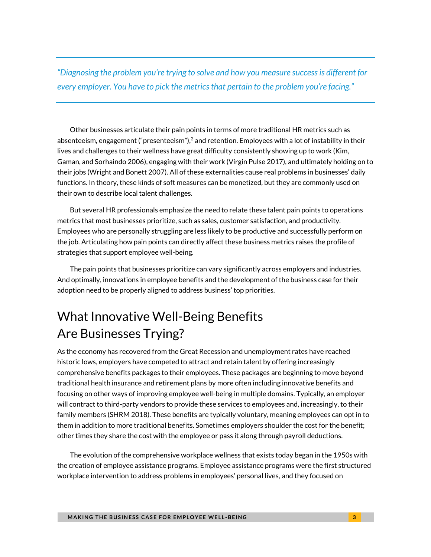*"Diagnosing the problem you're trying to solve and how you measure success is different for every employer. You have to pick the metrics that pertain to the problem you're facing."*

Other businesses articulate their pain points in terms of more traditional HR metrics such as absenteeism, engagement ("presenteeism"), $^2$  and retention. Employees with a lot of instability in their lives and challenges to their wellness have great difficulty consistently showing up to work (Kim, Gaman, and Sorhaindo 2006), engaging with their work (Virgin Pulse 2017), and ultimately holding on to their jobs (Wright and Bonett 2007). All of these externalities cause real problems in businesses' daily functions. In theory, these kinds of soft measures can be monetized, but they are commonly used on their own to describe local talent challenges.

But several HR professionals emphasize the need to relate these talent pain points to operations metrics that most businesses prioritize, such as sales, customer satisfaction, and productivity. Employees who are personally struggling are less likely to be productive and successfully perform on the job. Articulating how pain points can directly affect these business metrics raises the profile of strategies that support employee well-being.

The pain points that businesses prioritize can vary significantly across employers and industries. And optimally, innovations in employee benefits and the development of the business case for their adoption need to be properly aligned to address business' top priorities.

# What Innovative Well-Being Benefits Are Businesses Trying?

As the economy has recovered from the Great Recession and unemployment rates have reached historic lows, employers have competed to attract and retain talent by offering increasingly comprehensive benefits packages to their employees. These packages are beginning to move beyond traditional health insurance and retirement plans by more often including innovative benefits and focusing on other ways of improving employee well-being in multiple domains. Typically, an employer will contract to third-party vendors to provide these services to employees and, increasingly, to their family members (SHRM 2018). These benefits are typically voluntary, meaning employees can opt in to them in addition to more traditional benefits. Sometimes employers shoulder the cost for the benefit; other times they share the cost with the employee or pass it along through payroll deductions.

The evolution of the comprehensive workplace wellness that exists today began in the 1950s with the creation of employee assistance programs. Employee assistance programs were the first structured workplace intervention to address problems in employees' personal lives, and they focused on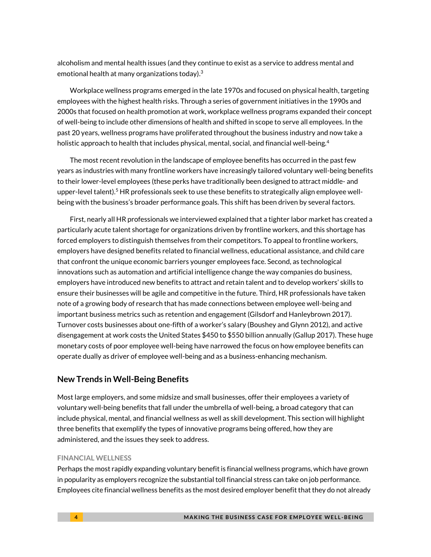alcoholism and mental health issues (and they continue to exist as a service to address mental and emotional health at many organizations today). $^3$ 

Workplace wellness programs emerged in the late 1970s and focused on physical health, targeting employees with the highest health risks. Through a series of government initiatives in the 1990s and 2000s that focused on health promotion at work, workplace wellness programs expanded their concept of well-being to include other dimensions of health and shifted in scope to serve all employees. In the past 20 years, wellness programs have proliferated throughout the business industry and now take a holistic approach to health that includes physical, mental, social, and financial well-being. 4

The most recent revolution in the landscape of employee benefits has occurred in the past few years as industries with many frontline workers have increasingly tailored voluntary well-being benefits to their lower-level employees (these perks have traditionally been designed to attract middle- and upper-level talent). <sup>5</sup> HR professionals seek to use these benefits to strategically align employee wellbeing with the business's broader performance goals. This shift has been driven by several factors.

First, nearly all HR professionals we interviewed explained that a tighter labor market has created a particularly acute talent shortage for organizations driven by frontline workers, and this shortage has forced employers to distinguish themselves from their competitors. To appeal to frontline workers, employers have designed benefits related to financial wellness, educational assistance, and child care that confront the unique economic barriers younger employees face. Second, as technological innovations such as automation and artificial intelligence change the way companies do business, employers have introduced new benefits to attract and retain talent and to develop workers' skills to ensure their businesses will be agile and competitive in the future. Third, HR professionals have taken note of a growing body of research that has made connections between employee well-being and important business metrics such as retention and engagement (Gilsdorf and Hanleybrown 2017). Turnover costs businesses about one-fifth of a worker's salary (Boushey and Glynn 2012), and active disengagement at work costs the United States \$450 to \$550 billion annually (Gallup 2017). These huge monetary costs of poor employee well-being have narrowed the focus on how employee benefits can operate dually as driver of employee well-being and as a business-enhancing mechanism.

### **New Trends in Well-Being Benefits**

Most large employers, and some midsize and small businesses, offer their employees a variety of voluntary well-being benefits that fall under the umbrella of well-being, a broad category that can include physical, mental, and financial wellness as well as skill development. This section will highlight three benefits that exemplify the types of innovative programs being offered, how they are administered, and the issues they seek to address.

#### **FINANCIAL WELLNESS**

Perhaps the most rapidly expanding voluntary benefit is financial wellness programs, which have grown in popularity as employers recognize the substantial toll financial stress can take on job performance. Employees cite financial wellness benefits as the most desired employer benefit that they do not already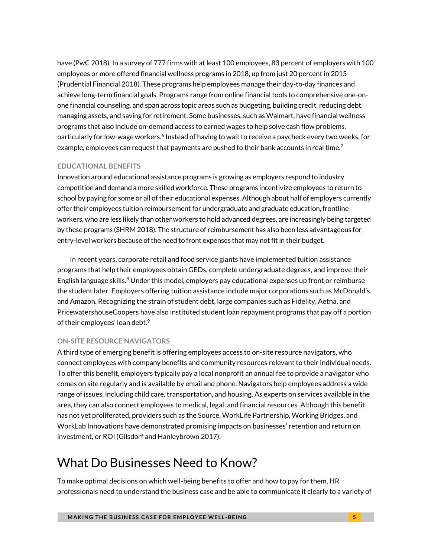have (PwC 2018). In a survey of 777 firms with at least 100 employees, 83 percent of employers with 100 employees or more offered financial wellness programs in 2018, up from just 20 percent in 2015 (Prudential Financial 2018). These programs help employees manage their day-to-day finances and achieve long-term financial goals. Programs range from online financial tools to comprehensive one-onone financial counseling, and span across topic areas such as budgeting, building credit, reducing debt, managing assets, and saving for retirement. Some businesses, such as Walmart, have financial wellness programs that also include on-demand access to earned wages to help solve cash flow problems, particularly for low-wage workers.<sup>6</sup> Instead of having to wait to receive a paycheck every two weeks, for example, employees can request that payments are pushed to their bank accounts in real time.<sup>7</sup>

#### **EDUCATIONAL BENEFITS**

Innovation around educational assistance programs is growing as employers respond to industry competition and demand a more skilled workforce. These programs incentivize employees to return to school by paying for some or all of their educational expenses. Although about half of employers currently offer their employees tuition reimbursement for undergraduate and graduate education, frontline workers, who are less likely than other workers to hold advanced degrees, are increasingly being targeted by these programs (SHRM 2018). The structure of reimbursement has also been less advantageous for entry-level workers because of the need to front expenses that may not fit in their budget.

In recent years, corporate retail and food service giants have implemented tuition assistance programs that help their employees obtain GEDs, complete undergraduate degrees, and improve their English language skills.<sup>8</sup> Under this model, employers pay educational expenses up front or reimburse the student later. Employers offering tuition assistance include major corporations such as McDonald's and Amazon. Recognizing the strain of student debt, large companies such as Fidelity, Aetna, and PricewatershouseCoopers have also instituted student loan repayment programs that pay off a portion of their employees' loan debt. $^9$ 

#### **ON-SITE RESOURCE NAVIGATORS**

A third type of emerging benefit is offering employees access to on-site resource navigators, who connect employees with company benefits and community resources relevant to their individual needs. To offer this benefit, employers typically pay a local nonprofit an annual fee to provide a navigator who comes on site regularly and is available by email and phone. Navigators help employees address a wide range of issues, including child care, transportation, and housing. As experts on services available in the area, they can also connect employees to medical, legal, and financial resources. Although this benefit has not yet proliferated, providers such as the Source, WorkLife Partnership, Working Bridges, and WorkLab Innovations have demonstrated promising impacts on businesses' retention and return on investment, or ROI (Gilsdorf and Hanleybrown 2017).

# What Do Businesses Need to Know?

To make optimal decisions on which well-being benefits to offer and how to pay for them, HR professionals need to understand the business case and be able to communicate it clearly to a variety of

**MAKING THE BUSINESS CASE FOR EMPLOYEE WELL-BEING AND RESOLUTION CONTAINING A SET ON A GET AND RESOLUTION CONTAINING A SET ON A SET ON A GET AND RESOLUTION CONTAINING A SET ON A GET AND RESOLUTION CONTAINING A SET ON A GET**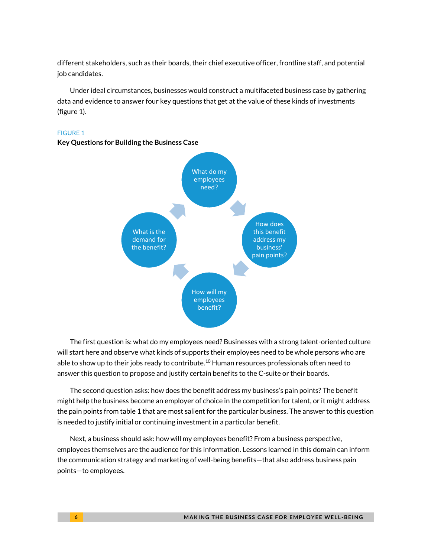different stakeholders, such as their boards, their chief executive officer, frontline staff, and potential job candidates.

Under ideal circumstances, businesses would construct a multifaceted business case by gathering data and evidence to answer four key questions that get at the value of these kinds of investments (figure 1).

#### FIGURE 1



### **Key Questions for Building the Business Case**

The first question is: what do my employees need? Businesses with a strong talent-oriented culture will start here and observe what kinds of supports their employees need to be whole persons who are able to show up to their jobs ready to contribute.<sup>10</sup> Human resources professionals often need to answer this question to propose and justify certain benefits to the C-suite or their boards.

The second question asks: how does the benefit address my business's pain points? The benefit might help the business become an employer of choice in the competition for talent, or it might address the pain points from table 1 that are most salient for the particular business. The answer to this question is needed to justify initial or continuing investment in a particular benefit.

Next, a business should ask: how will my employees benefit? From a business perspective, employees themselves are the audience for this information. Lessons learned in this domain can inform the communication strategy and marketing of well-being benefits—that also address business pain points—to employees.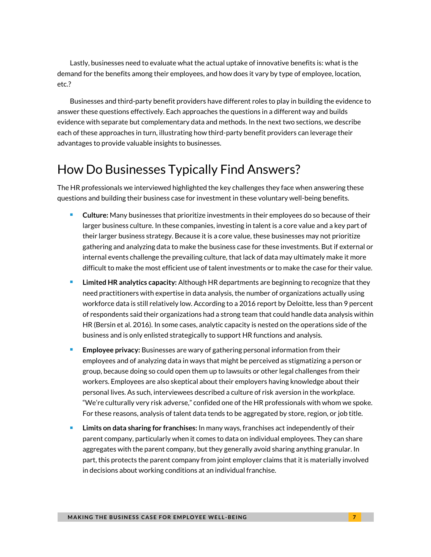Lastly, businesses need to evaluate what the actual uptake of innovative benefits is: what is the demand for the benefits among their employees, and how does it vary by type of employee, location, etc.?

Businesses and third-party benefit providers have different roles to play in building the evidence to answer these questions effectively. Each approaches the questions in a different way and builds evidence with separate but complementary data and methods. In the next two sections, we describe each of these approaches in turn, illustrating how third-party benefit providers can leverage their advantages to provide valuable insights to businesses.

# How Do Businesses Typically Find Answers?

The HR professionals we interviewed highlighted the key challenges they face when answering these questions and building their business case for investment in these voluntary well-being benefits.

- **Culture:** Many businesses that prioritize investments in their employees do so because of their larger business culture. In these companies, investing in talent is a core value and a key part of their larger business strategy. Because it is a core value, these businesses may not prioritize gathering and analyzing data to make the business case for these investments. But if external or internal events challenge the prevailing culture, that lack of data may ultimately make it more difficult to make the most efficient use of talent investments or to make the case for their value.
- **Limited HR** analytics capacity: Although HR departments are beginning to recognize that they need practitioners with expertise in data analysis, the number of organizations actually using workforce data is still relatively low. According to a 2016 report by Deloitte, less than 9 percent of respondents said their organizations had a strong team that could handle data analysis within HR (Bersin et al. 2016). In some cases, analytic capacity is nested on the operations side of the business and is only enlisted strategically to support HR functions and analysis.
- **Employee privacy:** Businesses are wary of gathering personal information from their employees and of analyzing data in ways that might be perceived as stigmatizing a person or group, because doing so could open them up to lawsuits or other legal challenges from their workers. Employees are also skeptical about their employers having knowledge about their personal lives. As such, interviewees described a culture of risk aversion in the workplace. "We're culturally very risk adverse," confided one of the HR professionals with whom we spoke. For these reasons, analysis of talent data tends to be aggregated by store, region, or job title.
- **Limits on data sharing for franchises:** In many ways, franchises act independently of their parent company, particularly when it comes to data on individual employees. They can share aggregates with the parent company, but they generally avoid sharing anything granular. In part, this protects the parent company from joint employer claims that it is materially involved in decisions about working conditions at an individual franchise.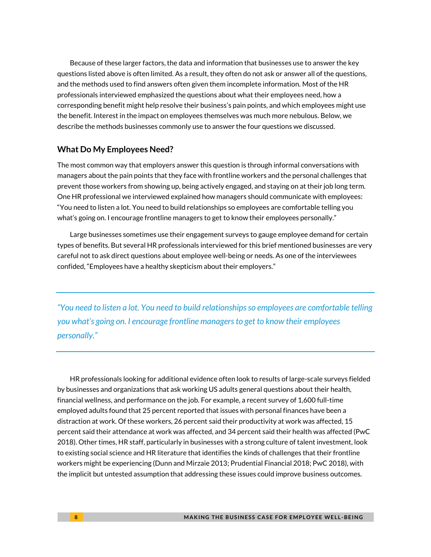Because of these larger factors, the data and information that businesses use to answer the key questions listed above is often limited. As a result, they often do not ask or answer all of the questions, and the methods used to find answers often given them incomplete information. Most of the HR professionals interviewed emphasized the questions about what their employees need, how a corresponding benefit might help resolve their business's pain points, and which employees might use the benefit. Interest in the impact on employees themselves was much more nebulous. Below, we describe the methods businesses commonly use to answer the four questions we discussed.

#### **What Do My Employees Need?**

The most common way that employers answer this question is through informal conversations with managers about the pain points that they face with frontline workers and the personal challenges that prevent those workers from showing up, being actively engaged, and staying on at their job long term. One HR professional we interviewed explained how managers should communicate with employees: "You need to listen a lot. You need to build relationships so employees are comfortable telling you what's going on. I encourage frontline managers to get to know their employees personally."

Large businesses sometimes use their engagement surveys to gauge employee demand for certain types of benefits. But several HR professionals interviewed for this brief mentioned businesses are very careful not to ask direct questions about employee well-being or needs. As one of the interviewees confided, "Employees have a healthy skepticism about their employers."

*"You need to listen a lot. You need to build relationships so employees are comfortable telling you what's going on. I encourage frontline managers to get to know their employees personally."*

HR professionals looking for additional evidence often look to results of large-scale surveys fielded by businesses and organizations that ask working US adults general questions about their health, financial wellness, and performance on the job. For example, a recent survey of 1,600 full-time employed adults found that 25 percent reported that issues with personal finances have been a distraction at work. Of these workers, 26 percent said their productivity at work was affected, 15 percent said their attendance at work was affected, and 34 percent said their health was affected (PwC 2018). Other times, HR staff, particularly in businesses with a strong culture of talent investment, look to existing social science and HR literature that identifies the kinds of challenges that their frontline workers might be experiencing (Dunn and Mirzaie 2013; Prudential Financial 2018; PwC 2018), with the implicit but untested assumption that addressing these issues could improve business outcomes.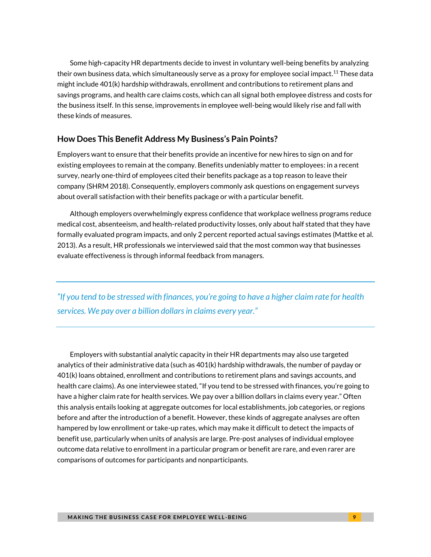Some high-capacity HR departments decide to invest in voluntary well-being benefits by analyzing their own business data, which simultaneously serve as a proxy for employee social impact. <sup>11</sup> These data might include 401(k) hardship withdrawals, enrollment and contributions to retirement plans and savings programs, and health care claims costs, which can all signal both employee distress and costs for the business itself. In this sense, improvements in employee well-being would likely rise and fall with these kinds of measures.

### **How Does This Benefit Address My Business's Pain Points?**

Employers want to ensure that their benefits provide an incentive for new hires to sign on and for existing employees to remain at the company. Benefits undeniably matter to employees: in a recent survey, nearly one-third of employees cited their benefits package as a top reason to leave their company (SHRM 2018). Consequently, employers commonly ask questions on engagement surveys about overall satisfaction with their benefits package or with a particular benefit.

Although employers overwhelmingly express confidence that workplace wellness programs reduce medical cost, absenteeism, and health-related productivity losses, only about half stated that they have formally evaluated program impacts, and only 2 percent reported actual savings estimates (Mattke et al. 2013). As a result, HR professionals we interviewed said that the most common way that businesses evaluate effectiveness is through informal feedback from managers.

*"If you tend to be stressed with finances, you're going to have a higher claim rate for health services. We pay over a billion dollars in claims every year."*

Employers with substantial analytic capacity in their HR departments may also use targeted analytics of their administrative data (such as 401(k) hardship withdrawals, the number of payday or 401(k) loans obtained, enrollment and contributions to retirement plans and savings accounts, and health care claims). As one interviewee stated, "If you tend to be stressed with finances, you're going to have a higher claim rate for health services. We pay over a billion dollars in claims every year." Often this analysis entails looking at aggregate outcomes for local establishments, job categories, or regions before and after the introduction of a benefit. However, these kinds of aggregate analyses are often hampered by low enrollment or take-up rates, which may make it difficult to detect the impacts of benefit use, particularly when units of analysis are large. Pre-post analyses of individual employee outcome data relative to enrollment in a particular program or benefit are rare, and even rarer are comparisons of outcomes for participants and nonparticipants.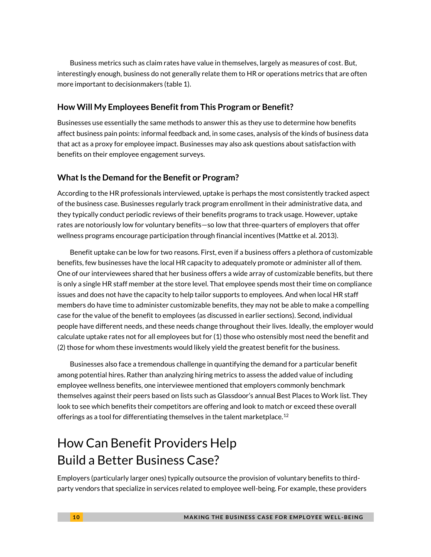Business metrics such as claim rates have value in themselves, largely as measures of cost. But, interestingly enough, business do not generally relate them to HR or operations metrics that are often more important to decisionmakers (table 1).

### **How Will My Employees Benefit from This Program or Benefit?**

Businesses use essentially the same methods to answer this as they use to determine how benefits affect business pain points: informal feedback and, in some cases, analysis of the kinds of business data that act as a proxy for employee impact. Businesses may also ask questions about satisfaction with benefits on their employee engagement surveys.

### **What Is the Demand for the Benefit or Program?**

According to the HR professionals interviewed, uptake is perhaps the most consistently tracked aspect of the business case. Businesses regularly track program enrollment in their administrative data, and they typically conduct periodic reviews of their benefits programs to track usage. However, uptake rates are notoriously low for voluntary benefits—so low that three-quarters of employers that offer wellness programs encourage participation through financial incentives (Mattke et al. 2013).

Benefit uptake can be low for two reasons. First, even if a business offers a plethora of customizable benefits, few businesses have the local HR capacity to adequately promote or administer all of them. One of our interviewees shared that her business offers a wide array of customizable benefits, but there is only a single HR staff member at the store level. That employee spends most their time on compliance issues and does not have the capacity to help tailor supports to employees. And when local HR staff members do have time to administer customizable benefits, they may not be able to make a compelling case for the value of the benefit to employees (as discussed in earlier sections). Second, individual people have different needs, and these needs change throughout their lives. Ideally, the employer would calculate uptake rates not for all employees but for (1) those who ostensibly most need the benefit and (2) those for whom these investments would likely yield the greatest benefit for the business.

Businesses also face a tremendous challenge in quantifying the demand for a particular benefit among potential hires. Rather than analyzing hiring metrics to assess the added value of including employee wellness benefits, one interviewee mentioned that employers commonly benchmark themselves against their peers based on lists such as Glassdoor's annual Best Places to Work list. They look to see which benefits their competitors are offering and look to match or exceed these overall offerings as a tool for differentiating themselves in the talent marketplace.<sup>12</sup>

# How Can Benefit Providers Help Build a Better Business Case?

Employers (particularly larger ones) typically outsource the provision of voluntary benefits to thirdparty vendors that specialize in services related to employee well-being. For example, these providers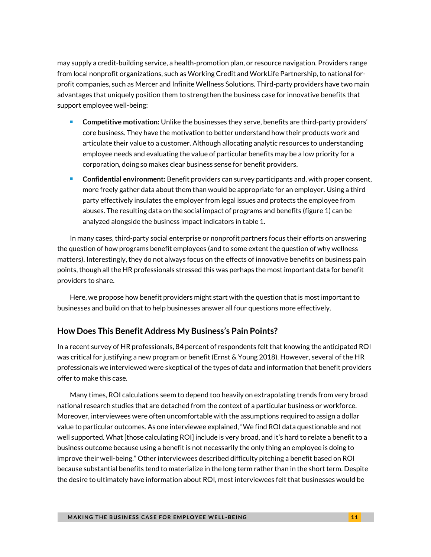may supply a credit-building service, a health-promotion plan, or resource navigation. Providers range from local nonprofit organizations, such as Working Credit and WorkLife Partnership, to national forprofit companies, such as Mercer and Infinite Wellness Solutions. Third-party providers have two main advantages that uniquely position them to strengthen the business case for innovative benefits that support employee well-being:

- **Competitive motivation:** Unlike the businesses they serve, benefits are third-party providers' core business. They have the motivation to better understand how their products work and articulate their value to a customer. Although allocating analytic resources to understanding employee needs and evaluating the value of particular benefits may be a low priority for a corporation, doing so makes clear business sense for benefit providers.
- **Confidential environment:** Benefit providers can survey participants and, with proper consent, more freely gather data about them than would be appropriate for an employer. Using a third party effectively insulates the employer from legal issues and protects the employee from abuses. The resulting data on the social impact of programs and benefits (figure 1) can be analyzed alongside the business impact indicators in table 1.

In many cases, third-party social enterprise or nonprofit partners focus their efforts on answering the question of how programs benefit employees (and to some extent the question of why wellness matters). Interestingly, they do not always focus on the effects of innovative benefits on business pain points, though all the HR professionals stressed this was perhaps the most important data for benefit providers to share.

Here, we propose how benefit providers might start with the question that is most important to businesses and build on that to help businesses answer all four questions more effectively.

### **How Does This Benefit Address My Business's Pain Points?**

In a recent survey of HR professionals, 84 percent of respondents felt that knowing the anticipated ROI was critical for justifying a new program or benefit (Ernst & Young 2018). However, several of the HR professionals we interviewed were skeptical of the types of data and information that benefit providers offer to make this case.

Many times, ROI calculations seem to depend too heavily on extrapolating trends from very broad national research studies that are detached from the context of a particular business or workforce. Moreover, interviewees were often uncomfortable with the assumptions required to assign a dollar value to particular outcomes. As one interviewee explained, "We find ROI data questionable and not well supported. What [those calculating ROI] include is very broad, and it's hard to relate a benefit to a business outcome because using a benefit is not necessarily the only thing an employee is doing to improve their well-being." Other interviewees described difficulty pitching a benefit based on ROI because substantial benefits tend to materialize in the long term rather than in the short term. Despite the desire to ultimately have information about ROI, most interviewees felt that businesses would be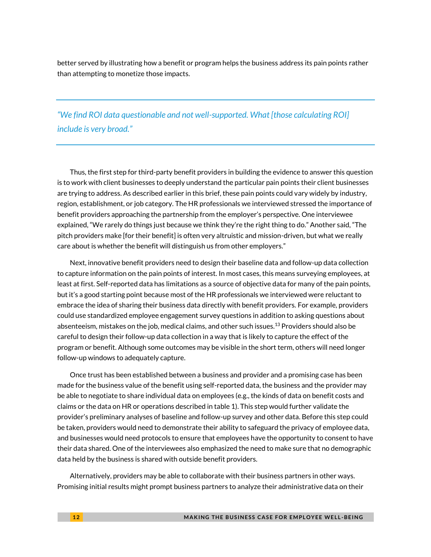better served by illustrating how a benefit or program helps the business address its pain points rather than attempting to monetize those impacts.

*"We find ROI data questionable and not well-supported. What [those calculating ROI] include is very broad."*

Thus, the first step for third-party benefit providers in building the evidence to answer this question is to work with client businesses to deeply understand the particular pain points their client businesses are trying to address. As described earlier in this brief, these pain points could vary widely by industry, region, establishment, or job category. The HR professionals we interviewed stressed the importance of benefit providers approaching the partnership from the employer's perspective. One interviewee explained, "We rarely do things just because we think they're the right thing to do." Another said, "The pitch providers make [for their benefit] is often very altruistic and mission-driven, but what we really care about is whether the benefit will distinguish us from other employers."

Next, innovative benefit providers need to design their baseline data and follow-up data collection to capture information on the pain points of interest. In most cases, this means surveying employees, at least at first. Self-reported data has limitations as a source of objective data for many of the pain points, but it's a good starting point because most of the HR professionals we interviewed were reluctant to embrace the idea of sharing their business data directly with benefit providers. For example, providers could use standardized employee engagement survey questions in addition to asking questions about absenteeism, mistakes on the job, medical claims, and other such issues. <sup>13</sup> Providers should also be careful to design their follow-up data collection in a way that is likely to capture the effect of the program or benefit. Although some outcomes may be visible in the short term, others will need longer follow-up windows to adequately capture.

Once trust has been established between a business and provider and a promising case has been made for the business value of the benefit using self-reported data, the business and the provider may be able to negotiate to share individual data on employees (e.g., the kinds of data on benefit costs and claims or the data on HR or operations described in table 1). This step would further validate the provider's preliminary analyses of baseline and follow-up survey and other data. Before this step could be taken, providers would need to demonstrate their ability to safeguard the privacy of employee data, and businesses would need protocols to ensure that employees have the opportunity to consent to have their data shared. One of the interviewees also emphasized the need to make sure that no demographic data held by the business is shared with outside benefit providers.

Alternatively, providers may be able to collaborate with their business partners in other ways. Promising initial results might prompt business partners to analyze their administrative data on their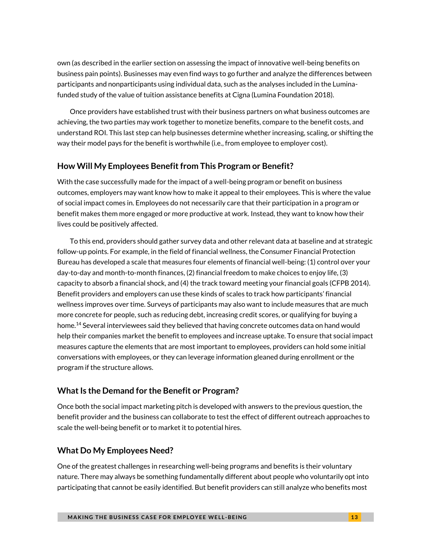own (as described in the earlier section on assessing the impact of innovative well-being benefits on business pain points). Businesses may even find ways to go further and analyze the differences between participants and nonparticipants using individual data, such as the analyses included in the Luminafunded study of the value of tuition assistance benefits at Cigna (Lumina Foundation 2018).

Once providers have established trust with their business partners on what business outcomes are achieving, the two parties may work together to monetize benefits, compare to the benefit costs, and understand ROI. This last step can help businesses determine whether increasing, scaling, or shifting the way their model pays for the benefit is worthwhile (i.e., from employee to employer cost).

### **How Will My Employees Benefit from This Program or Benefit?**

With the case successfully made for the impact of a well-being program or benefit on business outcomes, employers may want know how to make it appeal to their employees. This is where the value of social impact comes in. Employees do not necessarily care that their participation in a program or benefit makes them more engaged or more productive at work. Instead, they want to know how their lives could be positively affected.

To this end, providers should gather survey data and other relevant data at baseline and at strategic follow-up points. For example, in the field of financial wellness, the Consumer Financial Protection Bureau has developed a scale that measures four elements of financial well-being: (1) control over your day-to-day and month-to-month finances, (2) financial freedom to make choices to enjoy life, (3) capacity to absorb a financial shock, and (4) the track toward meeting your financial goals (CFPB 2014). Benefit providers and employers can use these kinds of scales to track how participants' financial wellness improves over time. Surveys of participants may also want to include measures that are much more concrete for people, such as reducing debt, increasing credit scores, or qualifying for buying a home.<sup>14</sup> Several interviewees said they believed that having concrete outcomes data on hand would help their companies market the benefit to employees and increase uptake. To ensure that social impact measures capture the elements that are most important to employees, providers can hold some initial conversations with employees, or they can leverage information gleaned during enrollment or the program if the structure allows.

### **What Is the Demand for the Benefit or Program?**

Once both the social impact marketing pitch is developed with answers to the previous question, the benefit provider and the business can collaborate to test the effect of different outreach approaches to scale the well-being benefit or to market it to potential hires.

### **What Do My Employees Need?**

One of the greatest challenges in researching well-being programs and benefits is their voluntary nature. There may always be something fundamentally different about people who voluntarily opt into participating that cannot be easily identified. But benefit providers can still analyze who benefits most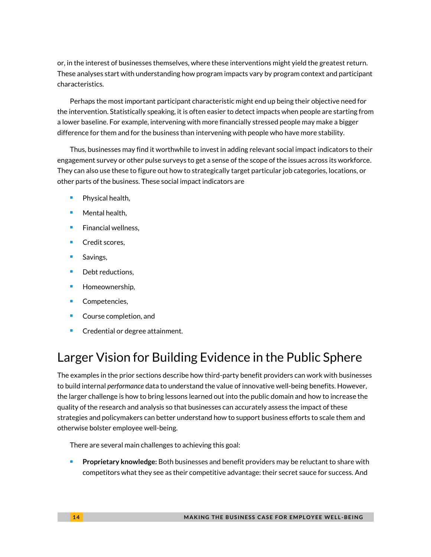or, in the interest of businesses themselves, where these interventions might yield the greatest return. These analyses start with understanding how program impacts vary by program context and participant characteristics.

Perhaps the most important participant characteristic might end up being their objective need for the intervention. Statistically speaking, it is often easier to detect impacts when people are starting from a lower baseline. For example, intervening with more financially stressed people may make a bigger difference for them and for the business than intervening with people who have more stability.

Thus, businesses may find it worthwhile to invest in adding relevant social impact indicators to their engagement survey or other pulse surveys to get a sense of the scope of the issues across its workforce. They can also use these to figure out how to strategically target particular job categories, locations, or other parts of the business. These social impact indicators are

- $\blacksquare$  Physical health,
- Mental health,
- **Financial wellness,**
- Credit scores,
- Savings,
- Debt reductions,
- **Homeownership,**
- **Competencies,**
- **Course completion, and**
- **Credential or degree attainment.**

# Larger Vision for Building Evidence in the Public Sphere

The examples in the prior sections describe how third-party benefit providers can work with businesses to build internal *performance* data to understand the value of innovative well-being benefits. However, the larger challenge is how to bring lessons learned out into the public domain and how to increase the quality of the research and analysis so that businesses can accurately assess the impact of these strategies and policymakers can better understand how to support business efforts to scale them and otherwise bolster employee well-being.

There are several main challenges to achieving this goal:

**Proprietary knowledge:** Both businesses and benefit providers may be reluctant to share with competitors what they see as their competitive advantage: their secret sauce for success. And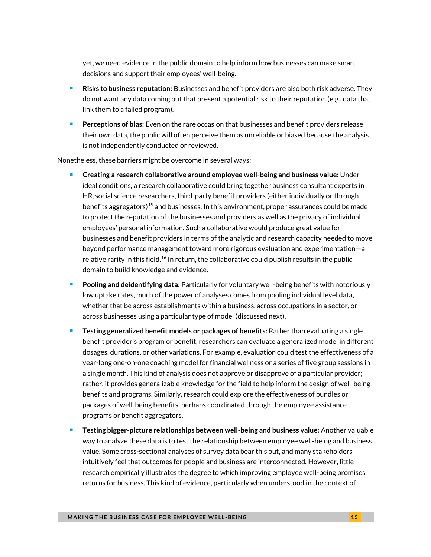yet, we need evidence in the public domain to help inform how businesses can make smart decisions and support their employees' well-being.

- **Risks to business reputation:** Businesses and benefit providers are also both risk adverse. They do not want any data coming out that present a potential risk to their reputation (e.g., data that link them to a failed program).
- **Perceptions of bias:** Even on the rare occasion that businesses and benefit providers release their own data, the public will often perceive them as unreliable or biased because the analysis is not independently conducted or reviewed.

Nonetheless, these barriers might be overcome in several ways:

- **Creating a research collaborative around employee well-being and business value:** Under ideal conditions, a research collaborative could bring together business consultant experts in HR, social science researchers, third-party benefit providers (either individually or through benefits aggregators)<sup>15</sup> and businesses. In this environment, proper assurances could be made to protect the reputation of the businesses and providers as well as the privacy of individual employees' personal information. Such a collaborative would produce great value for businesses and benefit providers in terms of the analytic and research capacity needed to move beyond performance management toward more rigorous evaluation and experimentation—a relative rarity in this field.<sup>16</sup> In return, the collaborative could publish results in the public domain to build knowledge and evidence.
- **Pooling and deidentifying data:** Particularly for voluntary well-being benefits with notoriously low uptake rates, much of the power of analyses comes from pooling individual level data, whether that be across establishments within a business, across occupations in a sector, or across businesses using a particular type of model (discussed next).
- **Testing generalized benefit models or packages of benefits:** Rather than evaluating a single benefit provider's program or benefit, researchers can evaluate a generalized model in different dosages, durations, or other variations. For example, evaluation could test the effectiveness of a year-long one-on-one coaching model for financial wellness or a series of five group sessions in a single month. This kind of analysis does not approve or disapprove of a particular provider; rather, it provides generalizable knowledge for the field to help inform the design of well-being benefits and programs. Similarly, research could explore the effectiveness of bundles or packages of well-being benefits, perhaps coordinated through the employee assistance programs or benefit aggregators.
- **Testing bigger-picture relationships between well-being and business value:** Another valuable way to analyze these data is to test the relationship between employee well-being and business value. Some cross-sectional analyses of survey data bear this out, and many stakeholders intuitively feel that outcomes for people and business are interconnected. However, little research empirically illustrates the degree to which improving employee well-being promises returns for business. This kind of evidence, particularly when understood in the context of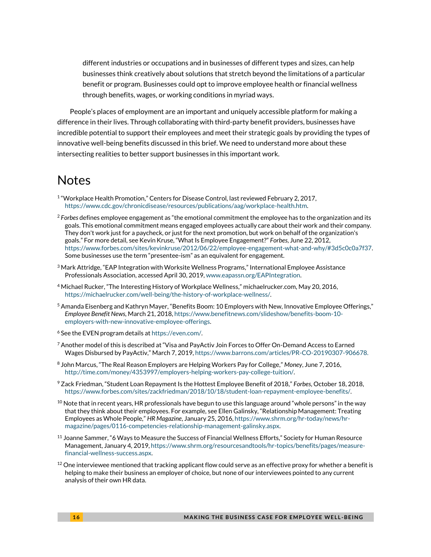different industries or occupations and in businesses of different types and sizes, can help businesses think creatively about solutions that stretch beyond the limitations of a particular benefit or program. Businesses could opt to improve employee health or financial wellness through benefits, wages, or working conditions in myriad ways.

People's places of employment are an important and uniquely accessible platform for making a difference in their lives. Through collaborating with third-party benefit providers, businesses have incredible potential to support their employees and meet their strategic goals by providing the types of innovative well-being benefits discussed in this brief. We need to understand more about these intersecting realities to better support businesses in this important work.

### **Notes**

- 1 "Workplace Health Promotion," Centers for Disease Control*,* last reviewed February 2, 2017, [https://www.cdc.gov/chronicdisease/resources/publications/aag/workplace-health.htm.](https://www.cdc.gov/chronicdisease/resources/publications/aag/workplace-health.htm)
- <sup>2</sup> *Forbes* defines employee engagement as "the emotional commitment the employee has to the organization and its goals. This emotional commitment means engaged employees actually care about their work and their company. They don't work just for a paycheck, or just for the next promotion, but work on behalf of the organization's goals." For more detail, see Kevin Kruse, "What Is Employee Engagement?" *Forbes*, June 22, 2012, [https://www.forbes.com/sites/kevinkruse/2012/06/22/employee-engagement-what-and-why/#3d5c0c0a7f37.](https://www.forbes.com/sites/kevinkruse/2012/06/22/employee-engagement-what-and-why/#3d5c0c0a7f37) Some businesses use the term "presentee-ism" as an equivalent for engagement.
- $3$  Mark Attridge, "EAP Integration with Worksite Wellness Programs," International Employee Assistance Professionals Association, accessed April 30, 2019[, www.eapassn.org/EAPIntegration.](http://www.eapassn.org/EAPIntegration)
- <sup>4</sup> Michael Rucker, "The Interesting History of Workplace Wellness," michaelrucker.com, May 20, 2016, [https://michaelrucker.com/well-being/the-history-of-workplace-wellness/.](https://michaelrucker.com/well-being/the-history-of-workplace-wellness/)
- <sup>5</sup> Amanda Eisenberg and Kathryn Mayer, "Benefits Boom: 10 Employers with New, Innovative Employee Offerings," *Employee Benefit News,* March 21, 2018[, https://www.benefitnews.com/slideshow/benefits-boom-10](https://www.benefitnews.com/slideshow/benefits-boom-10-employers-with-new-innovative-employee-offerings) [employers-with-new-innovative-employee-offerings.](https://www.benefitnews.com/slideshow/benefits-boom-10-employers-with-new-innovative-employee-offerings)
- <sup>6</sup> See the EVEN program details at [https://even.com/.](https://even.com/)
- $^7$  Another model of this is described at "Visa and PayActiv Join Forces to Offer On-Demand Access to Earned Wages Disbursed by PayActiv," March 7, 2019, [https://www.barrons.com/articles/PR-CO-20190307-906678.](https://www.barrons.com/articles/PR-CO-20190307-906678)
- 8 John Marcus, "The Real Reason Employers are Helping Workers Pay for College," *Money*, June 7, 2016, [http://time.com/money/4353997/employers-helping-workers-pay-college-tuition/.](http://time.com/money/4353997/employers-helping-workers-pay-college-tuition/)
- <sup>9</sup> Zack Friedman, "Student Loan Repayment Is the Hottest Employee Benefit of 2018," *Forbes*, October 18, 2018, [https://www.forbes.com/sites/zackfriedman/2018/10/18/student-loan-repayment-employee-benefits/.](https://www.forbes.com/sites/zackfriedman/2018/10/18/student-loan-repayment-employee-benefits/)
- $^{10}$  Note that in recent years, HR professionals have begun to use this language around "whole persons" in the way that they think about their employees. For example, see Ellen Galinsky, "Relationship Management: Treating Employees as Whole People," *HR Magazine*, January 25, 2016, [https://www.shrm.org/hr-today/news/hr](https://www.shrm.org/hr-today/news/hr-magazine/pages/0116-competencies-relationship-management-galinsky.aspx)[magazine/pages/0116-competencies-relationship-management-galinsky.aspx.](https://www.shrm.org/hr-today/news/hr-magazine/pages/0116-competencies-relationship-management-galinsky.aspx)
- $11$  Joanne Sammer, "6 Ways to Measure the Success of Financial Wellness Efforts," Society for Human Resource Management, January 4, 2019, [https://www.shrm.org/resourcesandtools/hr-topics/benefits/pages/measure](https://www.shrm.org/resourcesandtools/hr-topics/benefits/pages/measure-financial-wellness-success.aspx)[financial-wellness-success.aspx.](https://www.shrm.org/resourcesandtools/hr-topics/benefits/pages/measure-financial-wellness-success.aspx)
- $12$  One interviewee mentioned that tracking applicant flow could serve as an effective proxy for whether a benefit is helping to make their business an employer of choice, but none of our interviewees pointed to any current analysis of their own HR data.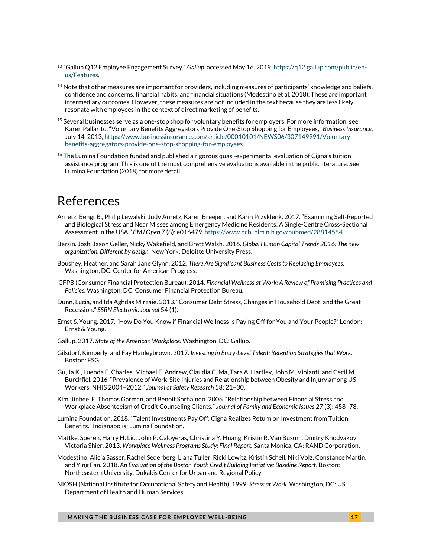- <sup>13</sup> "Gallup Q12 Employee Engagement Survey," *Gallup*, accessed May 16. 2019[, https://q12.gallup.com/public/en](https://q12.gallup.com/public/en-us/Features)[us/Features.](https://q12.gallup.com/public/en-us/Features)
- <sup>14</sup> Note that other measures are important for providers, including measures of participants' knowledge and beliefs, confidence and concerns, financial habits, and financial situations (Modestino et al. 2018). These are important intermediary outcomes. However, these measures are not included in the text because they are less likely resonate with employees in the context of direct marketing of benefits.
- $<sup>15</sup>$  Several businesses serve as a one-stop shop for voluntary benefits for employers. For more information, see</sup> Karen Pallarito, "Voluntary Benefits Aggregators Provide One-Stop Shopping for Employees," *Business Insurance*, July 14, 2013[, https://www.businessinsurance.com/article/00010101/NEWS06/307149991/Voluntary](https://www.businessinsurance.com/article/00010101/NEWS06/307149991/Voluntary-benefits-aggregators-provide-one-stop-shopping-for-employees)[benefits-aggregators-provide-one-stop-shopping-for-employees.](https://www.businessinsurance.com/article/00010101/NEWS06/307149991/Voluntary-benefits-aggregators-provide-one-stop-shopping-for-employees)
- $16$  The Lumina Foundation funded and published a rigorous quasi-experimental evaluation of Cigna's tuition assistance program. This is one of the most comprehensive evaluations available in the public literature. See Lumina Foundation (2018) for more detail.

### References

- Arnetz, Bengt B., Philip Lewalski, Judy Arnetz, Karen Breejen, and Karin Przyklenk. 2017. "Examining Self-Reported and Biological Stress and Near Misses among Emergency Medicine Residents: A Single-Centre Cross-Sectional Assessment in the USA." *BMJ Open* 7 (8): e016479[. https://www.ncbi.nlm.nih.gov/pubmed/28814584.](https://www.ncbi.nlm.nih.gov/pubmed/28814584)
- Bersin, Josh, Jason Geller, Nicky Wakefield, and Brett Walsh. 2016. *Global Human Capital Trends 2016: The new organization: Different by design.* New York: Deloitte University Press.
- Boushey, Heather, and Sarah Jane Glynn. 2012. *There Are Significant Business Costs to Replacing Employees.*  Washington, DC: Center for American Progress.
- CFPB (Consumer Financial Protection Bureau). 2014. *Financial Wellness at Work: A Review of Promising Practices and Policies.* Washington, DC: Consumer Financial Protection Bureau.
- Dunn, Lucia, and Ida Aghdas Mirzaie. 2013. "Consumer Debt Stress, Changes in Household Debt, and the Great Recession." *SSRN Electronic Journal* 54 (1).
- Ernst & Young. 2017. "How Do You Know if Financial Wellness Is Paying Off for You and Your People?" London: Ernst & Young.
- Gallup. 2017. *State of the American Workplace.* Washington, DC: Gallup.
- Gilsdorf, Kimberly, and Fay Hanleybrown. 2017. *Investing in Entry-Level Talent: Retention Strategies that Work*. Boston: FSG.
- Gu, Ja K., Luenda E. Charles, Michael E. Andrew, Claudia C. Ma, Tara A. Hartley, John M. Violanti, and Cecil M. Burchfiel. 2016. "Prevalence of Work-Site Injuries and Relationship between Obesity and Injury among US Workers: NHIS 2004–2012." *Journal of Safety Research* 58: 21–30.
- Kim, Jinhee, E. Thomas Garman, and Benoit Sorhaindo. 2006. "Relationship between Financial Stress and Workplace Absenteeism of Credit Counseling Clients." *Journal of Family and Economic Issues* 27 (3): 458–78.
- Lumina Foundation. 2018. "Talent Investments Pay Off: Cigna Realizes Return on Investment from Tuition Benefits." Indianapolis: Lumina Foundation.
- Mattke, Soeren, Harry H. Liu, John P. Caloyeras, Christina Y. Huang, Kristin R. Van Busum, Dmitry Khodyakov, Victoria Shier. 2013. *Workplace Wellness Programs Study: Final Report.* Santa Monica, CA: RAND Corporation.
- Modestino, Alicia Sasser, Rachel Sederberg, Liana Tuller, Ricki Lowitz, Kristin Schell, Niki Volz, Constance Martin, and Ying Fan. 2018. *An Evaluation of the Boston Youth Credit Building Initiative: Baseline Report*. Boston: Northeastern University, Dukakis Center for Urban and Regional Policy.
- NIOSH (National Institute for Occupational Safety and Health). 1999*. Stress at Work*. Washington, DC: US Department of Health and Human Services.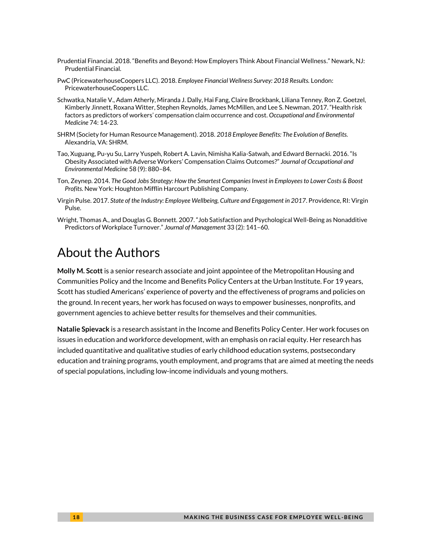- Prudential Financial. 2018. "Benefits and Beyond: How Employers Think About Financial Wellness." Newark, NJ: Prudential Financial.
- PwC (PricewaterhouseCoopers LLC). 2018. *Employee Financial Wellness Survey: 2018 Results.* London: PricewaterhouseCoopers LLC.
- Schwatka, Natalie V., Adam Atherly, Miranda J. Dally, Hai Fang, Claire Brockbank, Liliana Tenney, Ron Z. Goetzel, Kimberly Jinnett, Roxana Witter, Stephen Reynolds, James McMillen, and Lee S. Newman. 2017. "Health risk factors as predictors of workers' compensation claim occurrence and cost. *Occupational and Environmental Medicine* 74: 14-23.
- SHRM (Society for Human Resource Management). 2018. *2018 Employee Benefits: The Evolution of Benefits.*  Alexandria, VA: SHRM.
- Tao, Xuguang, Pu-yu Su, Larry Yuspeh, Robert A. Lavin, Nimisha Kalia-Satwah, and Edward Bernacki. 2016. "Is Obesity Associated with Adverse Workers' Compensation Claims Outcomes?" *Journal of Occupational and Environmental Medicine* 58 (9): 880–84.
- Ton, Zeynep. 2014. *The Good Jobs Strategy: How the Smartest Companies Invest in Employees to Lower Costs & Boost Profits.* New York: Houghton Mifflin Harcourt Publishing Company.
- Virgin Pulse. 2017. *State of the Industry: Employee Wellbeing, Culture and Engagement in 2017*. Providence, RI: Virgin Pulse.
- Wright, Thomas A., and Douglas G. Bonnett. 2007. "Job Satisfaction and Psychological Well-Being as Nonadditive Predictors of Workplace Turnover." *Journal of Management* 33 (2): 141–60.

# About the Authors

**Molly M. Scott** is a senior research associate and joint appointee of the Metropolitan Housing and Communities Policy and the Income and Benefits Policy Centers at the Urban Institute. For 19 years, Scott has studied Americans' experience of poverty and the effectiveness of programs and policies on the ground. In recent years, her work has focused on ways to empower businesses, nonprofits, and government agencies to achieve better results for themselves and their communities.

**Natalie Spievack** is a research assistant in the Income and Benefits Policy Center. Her work focuses on issues in education and workforce development, with an emphasis on racial equity. Her research has included quantitative and qualitative studies of early childhood education systems, postsecondary education and training programs, youth employment, and programs that are aimed at meeting the needs of special populations, including low-income individuals and young mothers.